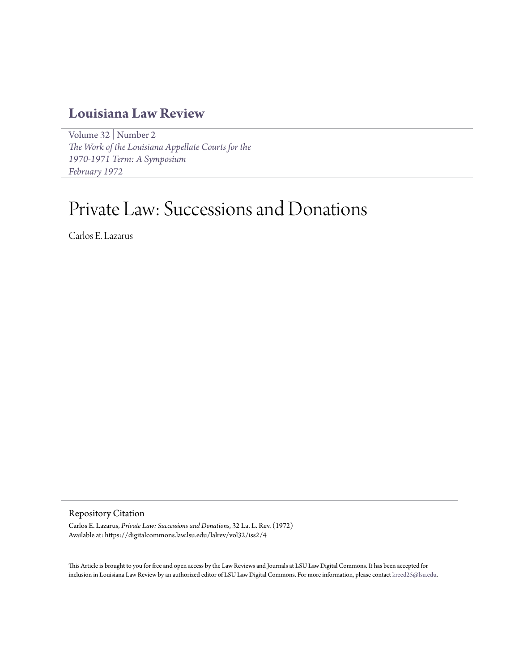# **[Louisiana Law Review](https://digitalcommons.law.lsu.edu/lalrev)**

[Volume 32](https://digitalcommons.law.lsu.edu/lalrev/vol32) | [Number 2](https://digitalcommons.law.lsu.edu/lalrev/vol32/iss2) *[The Work of the Louisiana Appellate Courts for the](https://digitalcommons.law.lsu.edu/lalrev/vol32/iss2) [1970-1971 Term: A Symposium](https://digitalcommons.law.lsu.edu/lalrev/vol32/iss2) [February 1972](https://digitalcommons.law.lsu.edu/lalrev/vol32/iss2)*

# Private Law: Successions and Donations

Carlos E. Lazarus

# Repository Citation

Carlos E. Lazarus, *Private Law: Successions and Donations*, 32 La. L. Rev. (1972) Available at: https://digitalcommons.law.lsu.edu/lalrev/vol32/iss2/4

This Article is brought to you for free and open access by the Law Reviews and Journals at LSU Law Digital Commons. It has been accepted for inclusion in Louisiana Law Review by an authorized editor of LSU Law Digital Commons. For more information, please contact [kreed25@lsu.edu](mailto:kreed25@lsu.edu).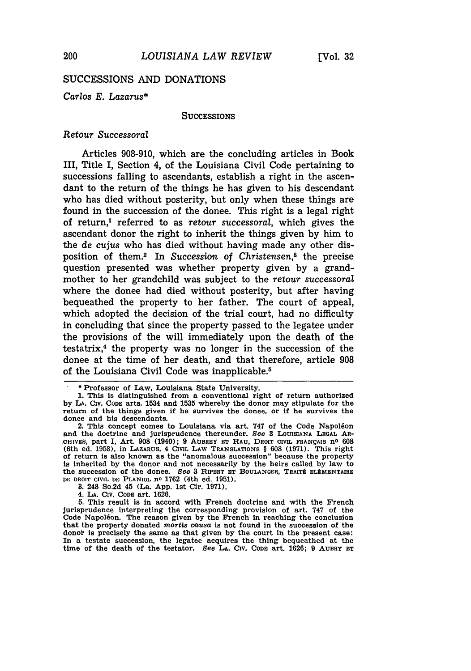# SUCCESSIONS AND DONATIONS

*Carlos E. Lazarus\**

### **SUCCESSIONS**

# *Retour Successoral*

Articles 908-910, which are the concluding articles in Book III, Title I, Section 4, of the Louisiana Civil Code pertaining to successions falling to ascendants, establish a right in the ascendant to the return of the things he has given to his descendant who has died without posterity, but only when these things are found in the succession of the donee. This right is a legal right of return,' referred to as retour *successoral,* which gives the ascendant donor the right to inherit the things given by him to the *de cujus* who has died without having made any other disposition of them.2 In *Succession* of *Christensen,8* the precise question presented was whether property given by a grandmother to her grandchild was subject to the *retour successoral* where the donee had died without posterity, but after having bequeathed the property to her father. The court of appeal, which adopted the decision of the trial court, had no difficulty in concluding that since the property passed to the legatee under the provisions of the will immediately upon the death of the testatrix,4 the property was no longer in the succession of the donee at the time of her death, and that therefore, article 908 of the Louisiana Civil Code was inapplicable.<sup>5</sup>

**3.** 248 So.2d 45 (La. **App. 1st** Cir. **1971).**

4. **LA. CIr. CODE** art. **1626.**

**5.** This result is in accord with French doctrine and with the French jurisprudence interpreting the corresponding provision of art. **747** of the Code Napol6on. The reason given **by** the French in reaching the conclusion that the property donated mortis causa is not found in the succession of the donor is precisely the same as that given **by** the court in the present case: In a testate succession, the legatee acquires the thing bequeathed at the time of the death of the testator. *See* **LA.** CIv. **CODE** art. **1626; 9** AUBRY **ET**

200

<sup>\*</sup>Professor of Law, Louisiana State University.

<sup>1.</sup> This is distinguished from a conventional right of return authorized by **LA. CIV. CODE** arts. 1534 and 1535 whereby the donor may stipulate for the return of the things given if he survives the donee, or if he survives the donee and his descendants.

<sup>2.</sup> This concept comes to Louisiana via art. **747** of the Code Napol6on and the doctrine and jurisprudence thereunder. See **3** LOUISIANA **LEGAL** AR-CHIVES, part **I,** Art. **908** (1940); **9** AUBREY **ET** RAU, DROIT cIVIL FRANgAIS no 608 (6th ed. 1953), in LAZARUS, 4 CIVIL LAW TRANSLATIONS **§** 608 (1971). This right of return is also known as the "anomalous succession" because the property is inherited by the donor and not necessarily by the heirs called by law to the succession of the donee. See 3 RIPERT ET BOULANGER, TRAITÉ ELÉMENTAIRE DR DROIT CIVIL DE PLANIOL **no 1762** (4th ed. **1951).**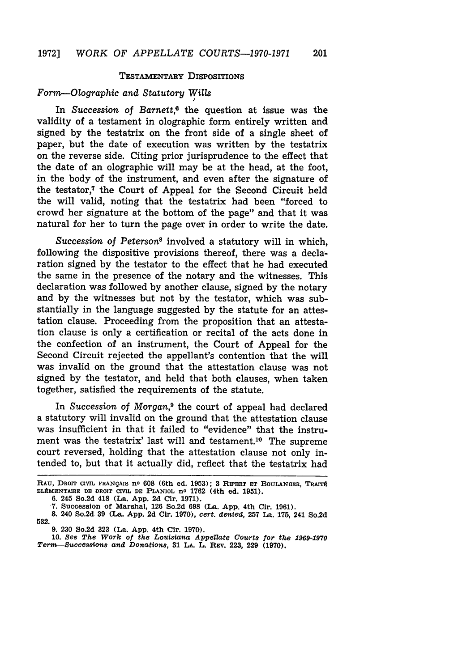#### TESTAMENTARY DISPOSITIONS

# *Form-Olographic and Statutory Wills*

In *Succession of Barnett*,<sup>6</sup> the question at issue was the validity of a testament in olographic form entirely written and signed by the testatrix on the front side of a single sheet of paper, but the date of execution was written by the testatrix on the reverse side. Citing prior jurisprudence to the effect that the date of an olographic will may be at the head, at the foot, in the body of the instrument, and even after the signature of the testator,7 the Court of Appeal for the Second Circuit held the will valid, noting that the testatrix had been "forced to crowd her signature at the bottom of the page" and that it was natural for her to turn the page over in order to write the date.

*Succession of Peterson8* involved a statutory will in which, following the dispositive provisions thereof, there was a declaration signed by the testator to the effect that he had executed the same in the presence of the notary and the witnesses. This declaration was followed by another clause, signed by the notary and by the witnesses but not by the testator, which was substantially in the language suggested by the statute for an attestation clause. Proceeding from the proposition that an attestation clause is only a certification or recital of the acts done in the confection of an instrument, the Court of Appeal for the Second Circuit rejected the appellant's contention that the will was invalid on the ground that the attestation clause was not signed by the testator, and held that both clauses, when taken together, satisfied the requirements of the statute.

In *Succession of Morgan,9* the court of appeal had declared a statutory will invalid on the ground that the attestation clause was insufficient in that it failed to "evidence" that the instrument was the testatrix' last will and testament.'0 The supreme court reversed, holding that the attestation clause not only intended to, but that it actually did, reflect that the testatrix had

**RAU, DROIT CIVIL FRANQAIS no 608 (6th ed. 1953); 3 RIPERT ET BOULANGER, TRAITS ELMENTAIRE DE DROIT CIVIL DE PLANIOL no 1762 (4th ed. 1951).**

**<sup>6. 245</sup> So.2d 418 (La. App. 2d Cir. 1971).**

**<sup>7.</sup> Succession of Marshal, 126 So.2d 698 (La. App. 4th Cir. 1961).**

**<sup>8. 240</sup> So.2d 39 (La. App. 2d Cir. 1970),** *cert. denied,* **257 La. 175, 241 So.2d 532.**

**<sup>9. 230</sup>** So.2d **323 (La. App.** 4th Cir. **1970).**

**<sup>10.</sup>** *See The Work of the Louisiana Appellate Courts for the 1969-1970 Term-Success4ons and Donations,* **31 LA. L. REV.** 223, **229 (1970).**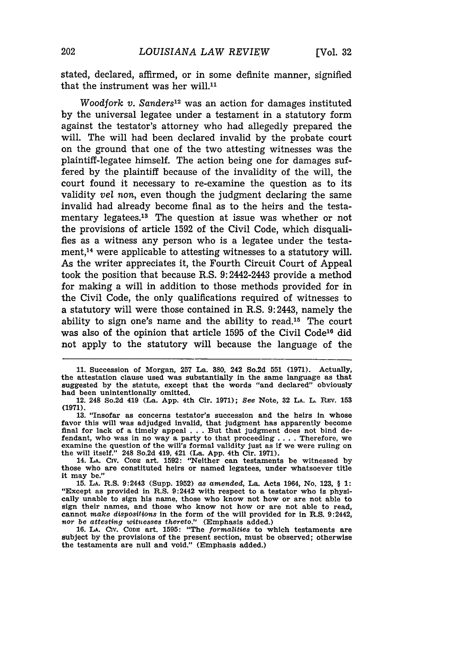stated, declared, affirmed, or in some definite manner, signified that the instrument was her will.<sup>11</sup>

*Woodfork v. Sanders*<sup>12</sup> was an action for damages instituted by the universal legatee under a testament in a statutory form against the testator's attorney who had allegedly prepared the will. The will had been declared invalid by the probate court on the ground that one of the two attesting witnesses was the plaintiff-legatee himself. The action being one for damages suffered by the plaintiff because of the invalidity of the will, the court found it necessary to re-examine the question as to its validity *vel non,* even though the judgment declaring the same invalid had already become final as to the heirs and the testamentary legatees.<sup>13</sup> The question at issue was whether or not the provisions of article 1592 of the Civil Code, which disqualifies as a witness any person who is a legatee under the testament,<sup>14</sup> were applicable to attesting witnesses to a statutory will. As the writer appreciates it, the Fourth Circuit Court of Appeal took the position that because R.S. 9:2442-2443 provide a method for making a will in addition to those methods provided for in the Civil Code, the only qualifications required of witnesses to a statutory will were those contained in R.S. 9:2443, namely the ability to sign one's name and the ability to read.15 The court was also of the opinion that article 1595 of the Civil Code<sup>16</sup> did not apply to the statutory will because the language of the

**11.** Succession of Morgan, **257** La. 380, 242 So.2d **551** (1971). Actually, the attestation clause used was substantially in the same language as that suggested by the statute, except that the words "and declared" obviously had been unintentionally omitted.

12. 248 So.2d 419 (La. App. 4th Cir. 1971); *See* Note, **32 LA.** L. REV. **153** (1971).

**13.** "Insofar as concerns testator's succession and the heirs in whose favor this will was adjudged invalid, that judgment has apparently become final for lack of a timely appeal . . . But that judgment does not bind defendant, who was in no way a party to that proceeding .... Therefore, we examine the question of the will's formal validity just as if we were ruling on the will itself." 248 So.2d 419, 421 (La. App. 4th Cir. 1971). 14. **LA.** Civ. **CODE** art. **1592:** "Neither can testaments be witnessed by

those who are constituted heirs or named legatees, under whatsoever title it may be."

**15. LA.** R.S. 9:2443 (Supp. **1952)** as *amended,* La. Acts 1964, No. **123,** § **1:** "Except as provided in R.S. 9:2442 with respect to a testator who is physically unable to sign his name, those who know not how or are not able to sign their names, and those who know not how or are not able to read, cannot *make dispositions* in the form of the will provided for in R.S. 9:2442, *nor be attesting witnesses thereto."* (Emphasis added.)

**16. LA.** COv. CODE art. **1595:** "The *formalities* to which testaments are subject by the provisions of the present section, must be observed; otherwise the testaments are null and void." (Emphasis added.)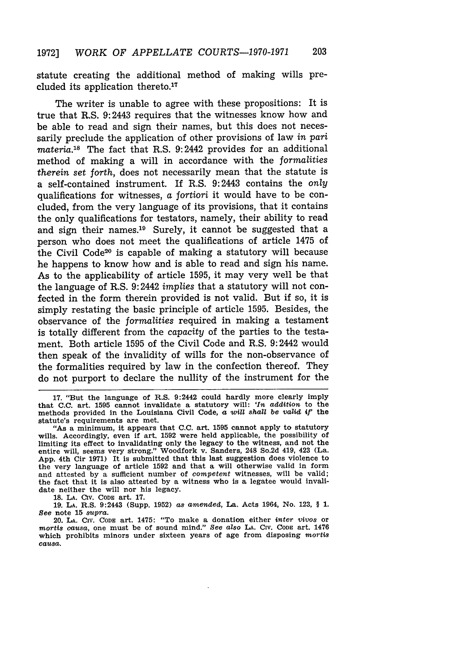statute creating the additional method of making wills precluded its application thereto.17

The writer is unable to agree with these propositions: It is true that R.S. 9:2443 requires that the witnesses know how and be able to read and sign their names, but this does not necessarily preclude the application of other provisions of law *in* pari *materia.18* The fact that R.S. 9:2442 provides for an additional method of making a will in accordance with the *formalities therein set forth,* does not necessarily mean that the statute is a self-contained instrument. If R.S. 9:2443 contains the *only* qualifications for witnesses, a *fortiori* it would have to be concluded, from the very language of its provisions, that it contains the only qualifications for testators, namely, their ability to read and sign their names.<sup>10</sup> Surely, it cannot be suggested that a person who does not meet the qualifications of article 1475 of the Civil Code20 is capable of making a statutory will because he happens to know how and is able to read and sign his name. As to the applicability of article 1595, it may very well be that the language of R.S. 9:2442 *implies* that a statutory will not confected in the form therein provided is not valid. But if so, it is simply restating the basic principle of article 1595. Besides, the observance of the *formalities* required in making a testament is totally different from the *capacity* of the parties to the testament. Both article 1595 of the Civil Code and R.S. 9:2442 would then speak of the invalidity of wills for the non-observance of the formalities required by law in the confection thereof. They do not purport to declare the nullity of the instrument for the

**17.** "But the language of R.S. 9:2442 could hardly more clearly imply that **C.C.** art. **1595** cannot invalidate **a** statutory will: *'In addition* to the methods provided in the Louisiana Civil Code, a will *shall be valid if'* the statute's requirements are met.

"As a minimum, it appears that **C.C.** art. 1595 cannot apply to statutory wills. Accordingly, even if art. 1592 were held applicable, the possibility of limiting its effect to invalidating only the legacy to the witness, and not the entire will, seems very strong." Woodfork v. Sanders, 248 So.2d 419, 423 (La. App. 4th Cir **1971)** It is submitted that this last suggestion does violence to the very language of article 1592 and that a will otherwise valid in form and attested by a sufficient number of *competent* witnesses, will be valid; the fact that it is also attested by a witness who is a legatee would invalidate neither the will nor his legacy.

**18. LA. CIV. CODE** art. 17.

**19. LA.** R.S. 9:2443 (Supp. 1952) *as amended,* La. Acts 1964, No. 123, § 1. *See* note 15 *supra.*

20. **LA.** Civ. **CODE** art. 1475: "To make a donation either *inter vivos* or *mortis causa,* one must be of sound mind." *See also LA.* Civ. **CODE** art. 1476 which prohibits minors under sixteen years of age from disposing *mortis causa.*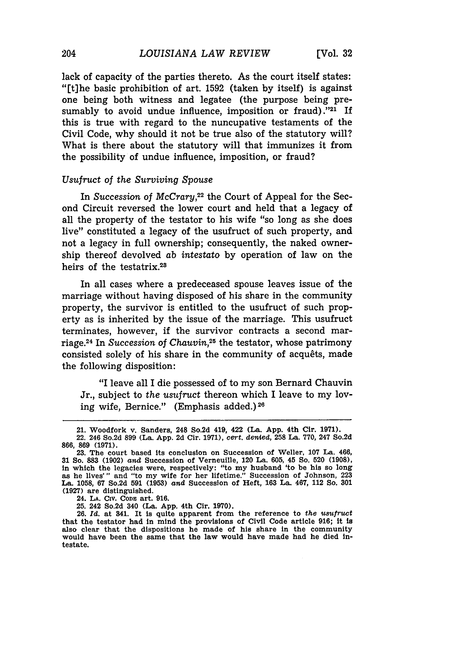lack of capacity of the parties thereto. As the court itself states: "[t]he basic prohibition of art. 1592 (taken by itself) is against one being both witness and legatee (the purpose being presumably to avoid undue influence, imposition or fraud) **. '21** If this is true with regard to the nuncupative testaments of the Civil Code, why should it not be true also of the statutory will? What is there about the statutory will that immunizes it from the possibility of undue influence, imposition, or fraud?

# *Usufruct of the Surviving Spouse*

In *Succession of McCrary,22* the Court of Appeal for the Second Circuit reversed the lower court and held that a legacy of all the property of the testator to his wife "so long as she does live" constituted a legacy of the usufruct of such property, and not a legacy in full ownership; consequently, the naked ownership thereof devolved *ab intestato* by operation of law on the heirs of the testatrix.<sup>28</sup>

In all cases where a predeceased spouse leaves issue of the marriage without having disposed of his share in the community property, the survivor is entitled to the usufruct of such property as is inherited by the issue of the marriage. This usufruct terminates, however, if the survivor contracts a second marriage.24 In *Succession of Chauvin,25* the testator, whose patrimony consisted solely of his share in the community of acquêts, made the following disposition:

"I leave all I die possessed of to my son Bernard Chauvin Jr., subject to *the usufruct* thereon which I leave to my loving wife, Bernice." (Emphasis added.) <sup>26</sup>

<sup>21.</sup> Woodfork v. Sanders, 248 So.2d 419, 422 (La. App. 4th Cir. 1971). 22. 246 So.2d 899 (La. App. 2d Cir. 1971), *cert. denied,* 258 La. 770, 247 So.2d 866, 869 (1971).

<sup>23.</sup> The court based its conclusion on Succession of Weller, 107 La. 466, **31** So. 883 (1902) *and* Succession of Verneuille, 120 La. 605, 45 **So.** 520 (1908), in which the legacies were, respectively: "to my husband 'to be his so long as he lives'" and "to my wife for her lifetime." Succession of Johnson, 223 La. 1058, 67 So.2d 591 (1953) *and* Succession of Heft, 163 La. 467, 112 So. **301** (1927) are distinguished.

<sup>24.</sup> **LA.** Civ. CoDE art. 916.

<sup>25. 242</sup> So.2d 340 (La. App. 4th Cir. 1970). 26. *Id.* at 341. It is quite apparent from the reference to *the usufruct* that the testator had in mind the provisions of Civil Code article 916; it is also clear that the dispositions he made of his share in the community would have been the same that the law would have made had he died intestate.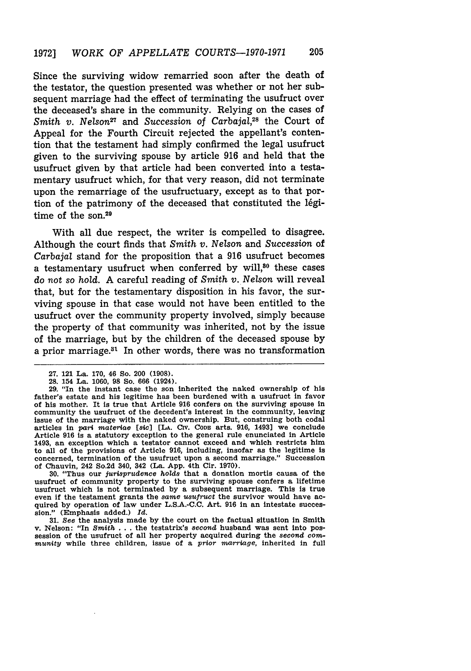Since the surviving widow remarried soon after the death of the testator, the question presented was whether or not her subsequent marriage had the effect of terminating the usufruct over the deceased's share in the community. Relying on the cases of *Smith v. Nelson27* and *Succession* of *Carbajal,28* the Court of Appeal for the Fourth Circuit rejected the appellant's contention that the testament had simply confirmed the legal usufruct given to the surviving spouse by article 916 and held that the usufruct given by that article had been converted into a testamentary usufruct which, for that very reason, did not terminate upon the remarriage of the usufructuary, except as to that portion of the patrimony of the deceased that constituted the légitime of the son.<sup>29</sup>

With all due respect, the writer is compelled to disagree. Although the court finds that *Smith v. Nelson* and Succession of *Carbajal* stand for the proposition that a 916 usufruct becomes a testamentary usufruct when conferred by will,<sup>80</sup> these cases *do not so hold.* A careful reading of *Smith v. Nelson* will reveal that, but for the testamentary disposition in his favor, the surviving spouse in that case would not have been entitled to the usufruct over the community property involved, simply because the property of that community was inherited, not by the issue of the marriage, but by the children of the deceased spouse by a prior marriage.<sup>31</sup> In other words, there was no transformation

**30.** "Thus our *jurisprudence* holds that a donation mortis causa of the usufruct of community property to the surviving spouse confers a lifetime usufruct which is not terminated **by** a subsequent marriage. This is true even if the testament grants the *same usufruct* the survivor would have acquired **by** operation of law under **L.S.A.-C.C.** Art. **916** in an intestate succession." (Emphasis added.) *Id.*

**31.** See the analysis made **by** the court on the factual situation in Smith v. Nelson: "In *Smith* **.. .**the testatrix's *second* husband was sent into possession of the usufruct of all her property acquired during the *second* community while three children, issue of a *prior marriage,* inherited in full

<sup>27. 121</sup> La. 170, 46 So. 200 (1908).

<sup>28. 154</sup> La. 1060, **98** So. **666** (1924).

**<sup>29.</sup>** "In the instant case the son inherited the naked ownership of his father's estate and his legitime has been burdened with a usufruct in favor of his mother. It is true that Article **916** confers on the surviving spouse in community the usufruct of the decedent's interest in the community, leaving issue of the marriage with the naked ownership. But, construing both codal articles in pari *materiae* [sic] **[LA.** Civ. CODE arts. **916,** 1493) we conclude Article **916** is a statutory exception to the general rule enunciated in Article 1493, an exception which a testator cannot exceed and which restricts him to all of the provisions of Article **916,** including, insofar as the legitime is concerned, termination of the usufruct upon a second marriage." Succession of Chauvin, 242 So.2d 340, 342 (La. App. 4th Cir. **1970).**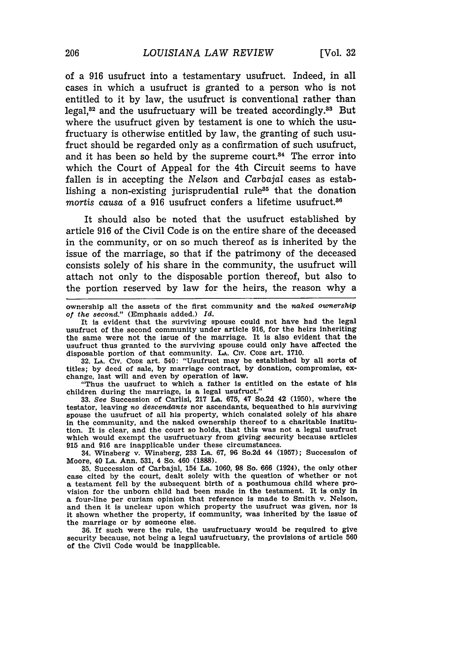of a 916 usufruct into a testamentary usufruct. Indeed, in all cases in which a usufruct is granted to a person who is not entitled to it by law, the usufruct is conventional rather than legal, $32$  and the usufructuary will be treated accordingly. $33$  But where the usufruct given by testament is one to which the usufructuary is otherwise entitled by law, the granting of such usufruct should be regarded only as a confirmation of such usufruct, and it has been so held by the supreme court.<sup>34</sup> The error into which the Court of Appeal for the 4th Circuit seems to have fallen is in accepting the *Nelson* and *Carbajal* cases as establishing a non-existing jurisprudential rule<sup>35</sup> that the donation *mortis causa* of a 916 usufruct confers a lifetime usufruct.<sup>86</sup>

It should also be noted that the usufruct established by article 916 of the Civil Code is on the entire share of the deceased in the community, or on so much thereof as is inherited by the issue of the marriage, so that if the patrimony of the deceased consists solely of his share in the community, the usufruct will attach not only to the disposable portion thereof, but also to the portion reserved by law for the heirs, the reason why a

**32. LA.** CIV. **CODE** art. **540:** "Usufruct may be established **by** all sorts of titles; **by** deed of sale, **by** marriage contract, **by** donation, compromise, exchange, last will and even **by** operation of law.

"Thus the usufruct to which a father is entitled on the estate of his children during the marriage, is a legal usufruct."

**33.** *Bee* Succession of Carlisi, **217** La. **675,** 47 So.2d 42 **(1950),** where the testator, leaving no *descendants* nor ascendants, bequeathed to his surviving spouse the usufruct of all his property, which consisted solely of his share in the community, and the naked ownership thereof to a charitable institution. It is clear, and the court so holds, that this was not a legal usufruct which would exempt the usufructuary from giving security because articles **915** and **916** are inapplicable under these circumstances.

34. Winsberg v. Winsberg, **233** La. **67, 96** So.2d 44 **(1957);** Succession of Moore, 40 La. Ann. **531,** 4 So. 460 **(1888).**

**35.** Succession of Carbajal, 154 La. **1060, 98** So. **666** (1924), the only other case cited **by** the court, dealt solely with the question of whether or not a testament fell **by** the subsequent birth of a posthumous child where provision for the unborn **child** had been made in the testament. It Is only in a four-line per curiam opinion that reference is made to Smith v. Nelson, and then it is unclear upon which property the usufruct was given, nor is it shown whether the property, if community, was inherited **by** the issue of the marriage or **by** someone else.

**36.** If such were the rule, the usufructuary would be required to give security because, not being a legal usufructuary, the provisions of article **<sup>560</sup>** of the Civil Code would be inapplicable.

ownership all the assets of the first community and the *naked ownership of the second."* (Emphasis added.) *Id.*

It is evident that the surviving spouse could not have had the legal usufruct of the second community under article 916, for the heirs inheriting the same were not the issue of the marriage. It is also evident that the usufruct thus granted to the surviving spouse could only have affected the disposable portion of that community. **LA.** Civ. CoDE art. 1710.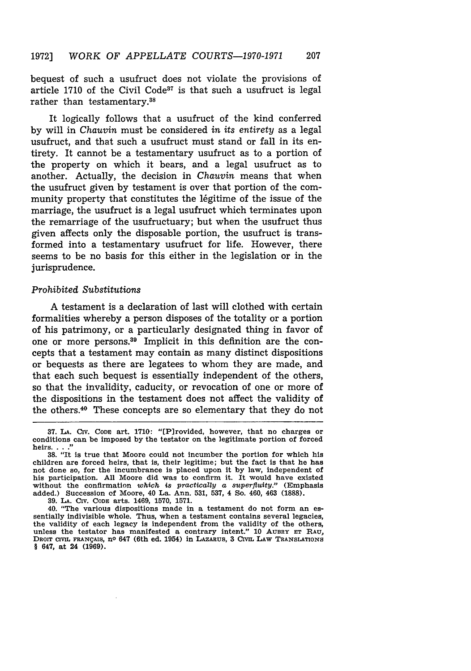bequest of such a usufruct does not violate the provisions of article 1710 of the Civil Code<sup>37</sup> is that such a usufruct is legal rather than testamentary.<sup>38</sup>

It logically follows that a usufruct of the kind conferred by will in *Chauvin* must be considered *in its entirety* as a legal usufruct, and that such a usufruct must stand or fall in its entirety. It cannot be a testamentary usufruct as to a portion of the property on which it bears, and a legal usufruct as to another. Actually, the decision in *Chauvin* means that when the usufruct given by testament is over that portion of the community property that constitutes the légitime of the issue of the marriage, the usufruct is a legal usufruct which terminates upon the remarriage of the usufructuary; but when the usufruct thus given affects only the disposable portion, the usufruct is transformed into a testamentary usufruct for life. However, there seems to be no basis for this either in the legislation or in the jurisprudence.

## *Prohibited Substitutions*

A testament is a declaration of last will clothed with certain formalities whereby a person disposes of the totality or a portion of his patrimony, or a particularly designated thing in favor of one or more persons.<sup>39</sup> Implicit in this definition are the concepts that a testament may contain as many distinct dispositions or bequests as there are legatees to whom they are made, and that each such bequest is essentially independent of the others, so that the invalidity, caducity, or revocation of one or more of the dispositions in the testament does not affect the validity of the others.<sup>40</sup> These concepts are so elementary that they do not

**39. LA.** Cxv. **CODE** arts. 1469, **1570, 1571.**

40. "The various dispositions made in a testament do not form an essentially indivisible whole. Thus, when a testament contains several legacies, the validity of each legacy is independent from the validity of the others, unless the testator has manifested a contrary intent." 10 AUBRY ET RAU, DROIT **CIVIL FRANgAIS,** no 647 (6th ed. 1954) in LAZARus, **3 CIvIL LAW TRANSLATIONS** § 647, at 24 **(1969).**

**<sup>37.</sup> LA.** Civ. CODE art. **1710:** "[Plrovided, however, that no charges or conditions can be imposed by the testator on the legitimate portion of forced heirs **... "**

**<sup>38.</sup>** "It is true that Moore could not incumber the portion for which his children are forced heirs, that is, their legitime; but the fact is that he has not done so, for the incumbrance is placed upon it by law, independent of his participation. **All** Moore did was to confirm it. It would have existed without the confirmation *which* is *practically a superfluity."* (Emphasis added.) Succession of Moore, 40 La. Ann. 531, 537, 4 So. 460, 463 (1888).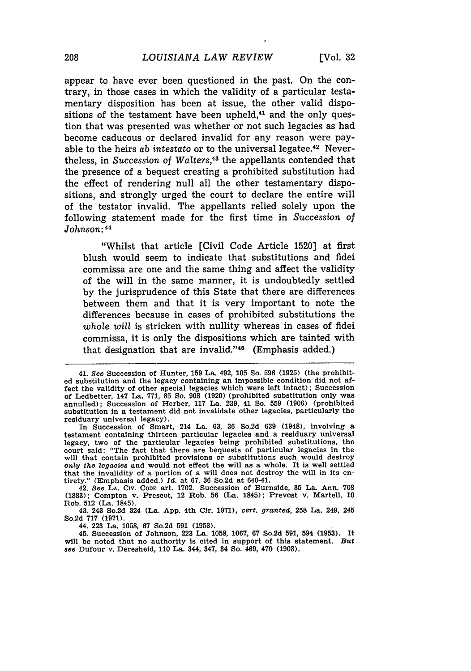appear to have ever been questioned in the past. On the contrary, in those cases in which the validity of a particular testamentary disposition has been at issue, the other valid dispositions of the testament have been upheld. $41$  and the only question that was presented was whether or not such legacies as had become caducous or declared invalid for any reason were payable to the heirs *ab intestato* or to the universal legatee.<sup>42</sup> Nevertheless, in *Succession of Walters,43* the appellants contended that the presence of a bequest creating a prohibited substitution had the effect of rendering null all the other testamentary dispositions, and strongly urged the court to declare the entire will of the testator invalid. The appellants relied solely upon the following statement made for the first time in *Succession of* Johnson: *<sup>44</sup>*

"Whilst that article [Civil Code Article 1520] at first blush would seem to indicate that substitutions and fidei commissa are one and the same thing and affect the validity of the will in the same manner, it is undoubtedly settled by the jurisprudence of this State that there are differences between them and that it is very important to note the differences because in cases of prohibited substitutions the *whole will* is stricken with nullity whereas in cases of fidei commissa, it is only the dispositions which are tainted with that designation that are invalid." $45$  (Emphasis added.)

44. **223** La. 1058, 67 So.2d **591** (1953).

45. Succession of Johnson, 223 La. 1058, 1067, 67 So.2d 591, 594 (1953). It will be noted that no authority is cited in support of this statement. *But see* Dufour v. Deresheid, 110 La. 344, 347, 34 So. 469, 470 (1903).

<sup>41.</sup> *See* Succession of Hunter, 159 La. 492, 105 So. 596 (1925) (the prohibited substitution and the legacy containing an impossible condition did not affect the validity of other special legacies which were left intact); Succession of Ledbetter, 147 La. 771, 85 So. 908 (1920) (prohibited substitution only was annulled); Succession of Herber, 117 La. 239, 41 So. **559** (1906) (prohibited substitution in a testament did not invalidate other legacies, particularly the residuary universal legacy).

In Succession of Smart, 214 La. 63, 36 So.2d 639 (1948), involving a testament containing thirteen particular legacies and a residuary universal legacy, two of the particular legacies being prohibited substitutions, the court said: "The fact that there are bequests of particular legacies in the will that contain prohibited provisions or substitutions such would destroy *only the legacies* and would not effect the will as a whole. It is well settled that the invalidity of a portion of a will does not destroy the will in its entirety." (Emphasis added.) *Id.* at 67, 36 So.2d at 640-41.

<sup>42.</sup> *See* **LA. CIV.** CODE art. 1702. Succession of Burnside, **35** La. Ann. 708 **(1883);** Compton v. Prescot, 12 Rob. 56 (La. 1845); Prevost v. Martell, 10 Rob. **512** (La. 1845).

<sup>43. 243</sup> So.2d 324 (La. App. 4th Cir. 1971), *cert. granted,* **258** La. 249, 245 So.2d **717** (1971).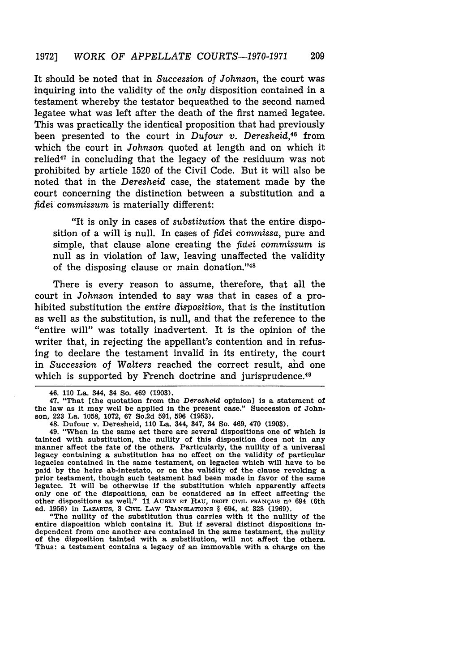It should be noted that in *Succession of Johnson,* the court was inquiring into the validity of the *only* disposition contained in a testament whereby the testator bequeathed to the second named legatee what was left after the death of the first named legatee. This was practically the identical proposition that had previously been presented to the court in *Dufour v. Deresheid,46* from which the court in *Johnson* quoted at length and on which it relied<sup>47</sup> in concluding that the legacy of the residuum was not prohibited by article 1520 of the Civil Code. But it will also be noted that in the *Deresheid* case, the statement made by the court concerning the distinction between a substitution and a *fidei commissum* is materially different:

"It is only in cases of *substitution* that the entire disposition of a will is null. In cases of *fidei commissa,* pure and simple, that clause alone creating the *fidei commissum* is null as in violation of law, leaving unaffected the validity of the disposing clause or main donation."<sup>48</sup>

There is every reason to assume, therefore, that all the court in *Johnson* intended to say was that in cases of a prohibited substitution the *entire disposition,* that is the institution as well as the substitution, is null, and that the reference to the "entire will" was totally inadvertent. It is the opinion of the writer that, in rejecting the appellant's contention and in refusing to declare the testament invalid in its entirety, the court in *Succession of Walters* reached the correct result, ahd one which is supported by French doctrine and jurisprudence.<sup>49</sup>

"The nullity of the substitution thus carries with it the nullity of the entire disposition which contains it. But if several distinct dispositions independent from one another are contained in the same testament, the nullity of the disposition tainted with a substitution, will not affect the others. Thus: a testament contains a legacy of an immovable with a charge on the

<sup>46. 110</sup> La. 344, 34 So. 469 (1903).

<sup>47. &</sup>quot;That [the quotation from the *Deresheid* opinion] is a statement of the law as it may well be applied in the present case." Succession of Johnson, **223** La. **1058, 1072, 67** So.2d **591, 596 (1953).**

<sup>48.</sup> Dufour v. Deresheid, **110** La. 344, 347, 34 So. 469, 470 **(1903).**

<sup>49. &</sup>quot;When in the same act there are several dispositions one of which is tainted with substitution, the nullity of this disposition does not in any manner affect the fate of the others. Particularly, the nullity of a universal legacy containing a substitution has no effect on the validity of particular legacies contained in the same testament, on legacies which will have to be paid by the heirs ab-intestato, or on the validity of the clause revoking a prior testament, though such testament had been made in favor of the same legatee. It will be otherwise if the substitution which apparently affects only one of the dispositions, can be considered as in effect affecting the other dispositions as well." 11 **AUBRY ET RAU, DROIT CIVIL FRANCAis** no 694 (6th ed. 1956) in LAZARUS, **3 CIVIL LAW TRANSLATIONS** § 694, at **328** (1969).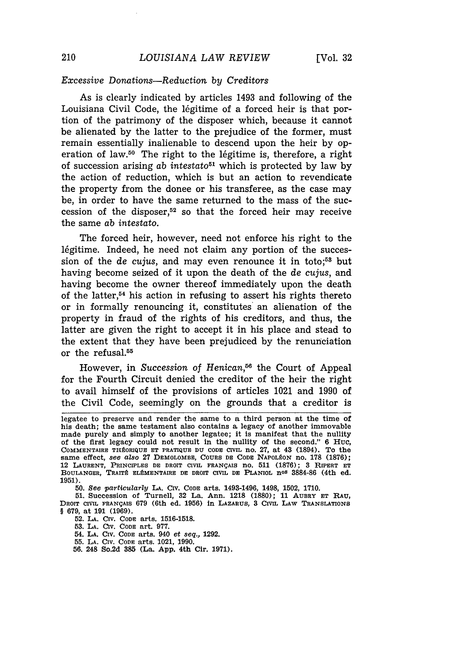# *Excessive Donations-Reduction by Creditors*

As is clearly indicated by articles 1493 and following of the Louisiana Civil Code, the légitime of a forced heir is that portion of the patrimony of the disposer which, because it cannot be alienated by the latter to the prejudice of the former, must remain essentially inalienable to descend upon the heir by operation of law.<sup>50</sup> The right to the légitime is, therefore, a right of succession arising *ab intestato5'* which is protected by law by the action of reduction, which is but an action to revendicate the property from the donee or his transferee, as the case may be, in order to have the same returned to the mass of the succession of the disposer, $52$  so that the forced heir may receive the same *ab intestato.*

The forced heir, however, need not enforce his right to the 16gitime. Indeed, he need not claim any portion of the succession of the *de cujus*, and may even renounce it in toto;<sup>53</sup> but having become seized of it upon the death of the *de cujus,* and having become the owner thereof immediately upon the death of the latter, $54$  his action in refusing to assert his rights thereto or in formally renouncing it, constitutes an alienation of the property in fraud of the rights of his creditors, and thus, the latter are given the right to accept it in his place and stead to the extent that they have been prejudiced by the renunciation or the refusal.55

However, in *Succession* of *Henican*,<sup>56</sup> the Court of Appeal for the Fourth Circuit denied the creditor of the heir the right to avail himself of the provisions of articles 1021 and 1990 of the Civil Code, seemingly on the grounds that a creditor is

legatee to preserve and render the same to a third person at the time **of** his death; the same testament also contains a legacy of another immovable made purely and simply to another legatee; it is manifest that the nullity of the first legacy could not result in the nullity of the second." 6 Huc, **COMMENTAIRE THIORIQUE ET PRATIQUE DU CODE CIVIL no. 27,** at 43 (1894). To the same effect, *see also* 27 DEMOLOMBE, COURS DE CODE NAPOLÉON no. 178 (1876); 12 **LAURENT, PRINCIPLES DE DROIT CIVIL FRANgAIS no. 511 (1876); 3 RIPERT ET BOULANGER, TRAIT1 ELtMENTAIRE DE DROIT CIVIL DE PLANIOL no s 3884-86** (4th ed. **1951).**

**<sup>50.</sup> See** *particularZy* **LA. Cirv. CODE arts. 1493-1496, 1498, 1502, 1710. 51.** Succession of Turnell, **32** La. Ann. **1218 (1880); 11 AUBRY ET RAU,**

**DROiT CIVIL FRANqAIS 679** (6th ed. **1956)** in **LAZARUS, 3** CIVIL LAw **TRANSLATIONS** § **679, at 191 (1969).**

**<sup>52.</sup> LA.** Cirv. **CODE arts. 1516-1518.**

**<sup>53.</sup> LA. CIV. CODE art. 977.**

**<sup>54.</sup> LA. Civ. CODE arts.** 940 *et seq.,* **1292.**

**<sup>55.</sup> LA.** CIV. CODE arts. 1021, 1990.

**<sup>56.</sup>** 248 So.2d **385** (La. **App.** 4th Cir. **1971).**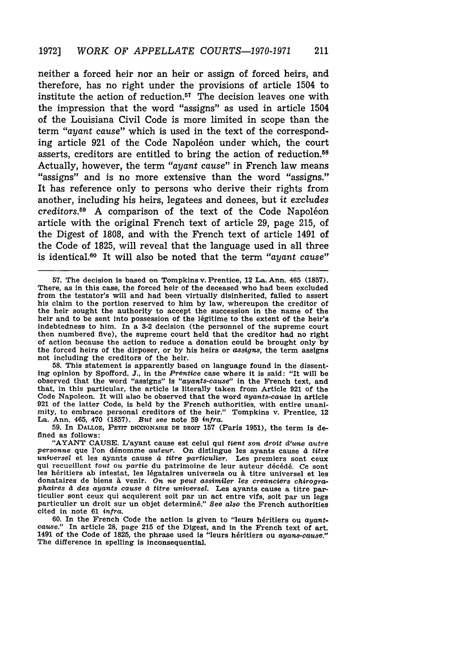neither a forced heir nor an heir or assign of forced heirs, and therefore, has no right under the provisions of article 1504 to institute the action of reduction.<sup>57</sup> The decision leaves one with the impression that the word "assigns" as used in article 1504 of the Louisiana Civil Code is more limited in scope than the term *"ayant cause"* which is used in the text of the corresponding article 921 of the Code Napoléon under which, the court asserts, creditors are entitled to bring the action of reduction.58 Actually, however, the term *"ayant cause"* in French law means "assigns" and is no more extensive than the word "assigns." It has reference only to persons who derive their rights from another, including his heirs, legatees and donees, but *it excludes creditors.59* A comparison of the text of the Code Napoleon article with the original French text of article 29, page 215, of the Digest of 1808, and with the French text of article 1491 of the Code of 1825, will reveal that the language used in all three is identical.6 0 It will also be noted that the term *"ayant cause"*

**58.** This statement is apparently based on language found in the dissenting opinion by Spofford. **J.,** in the *Prentice* case where it is said: "It will be observed that the word "assigns" Is *"ayants-cause"* in the French text, and that, in this particular, the article is literally taken from Article 921 of the Code Napoleon. It will also be observed that the word *ayants-cause* in article 921 of the latter Code, is held by the French authorities, with entire unanimity, to embrace personal creditors of the heir." Tompkins v. Prentice, 12 La. Ann. 465, 470 (1857). *But see* note 59 *infra.*

**59.** In DALLOZ, PETIT **DICCIONAIRE DE DROIT 157** (Paris **1951),** the term is defined as follows:<br>"AYANT CAUSE. L'ayant cause est celui qui tient son droit d'une autre

personne que l'on dénomme *auteur.* On distingue les ayants cause à titre *universel* et les ayants cause à *titre* particulier. Les premiers sont ceux *uni-versel* et les ayants cause **4** *ttre particulter.* Les premiers sont ceux qui recueillent tout ou *partie* du patrimoine de leur auteur d6c6d6. **Ce** sont les héritiers ab intestat, les légataires universels ou à titre universel et les donataires de biens **A** venir. On *ne peut assimiler les creanciers chirographaires 4 des ayants cause 4 titre universel.* Les ayants cause a titre particulier sont ceux qui acquierent soit par un act entre vifs, soit par un legs particulier un droit sur un objet determine." See also the French authorities

cited in note 61 *infra.* 60. In the French Code the action is given to "leurs héritiers ou ayant-<br>cause." In article 28, page 215 of the Digest, and in the French text of art.<br>1491 of the Code of 1825, the phrase used is "leurs héritiers ou ayans The difference in spelling is inconsequential.

**<sup>57.</sup>** The decision is based on Tompkins v. Prentice, 12 La. Ann. 465 **(1857).** There, as in this case, the forced heir of the deceased who had been excluded from the testator's will and had been virtually disinherited, failed to assert his claim to the portion reserved to him by law, whereupon the creditor of the heir sought the authority to accept the succession in the name of the heir and to be sent into possession of the légitime to the extent of the heir's indebtedness to him. In a 3-2 decision (the personnel of the supreme court then numbered five), the supreme court held that the creditor had no right of action because the action to reduce a donation could be brought only **by** the forced heirs of the disposer, or by his heirs or *assigns,* the term assigns not including the creditors of the heir.